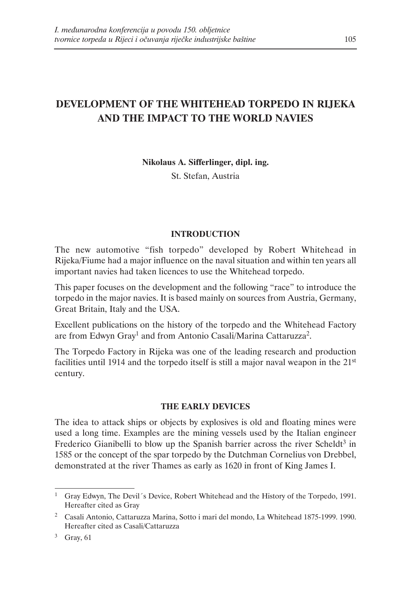# **DEVELOPMENT OF THE WHITEHEAD TORPEDO IN RIJEKA AND THE IMPACT TO THE WORLD NAVIES**

**Nikolaus A. Sifferlinger, dipl. ing.**

St. Stefan, Austria

#### **INTRODUCTION**

The new automotive "fish torpedo" developed by Robert Whitehead in Rijeka/Fiume had a major influence on the naval situation and within ten years all important navies had taken licences to use the Whitehead torpedo.

This paper focuses on the development and the following "race" to introduce the torpedo in the major navies. It is based mainly on sources from Austria, Germany, Great Britain, Italy and the USA.

Excellent publications on the history of the torpedo and the Whitehead Factory are from Edwyn Gray<sup>1</sup> and from Antonio Casali/Marina Cattaruzza<sup>2</sup>.

The Torpedo Factory in Rijeka was one of the leading research and production facilities until 1914 and the torpedo itself is still a major naval weapon in the 21<sup>st</sup> century.

#### **THE EARLY DEVICES**

The idea to attack ships or objects by explosives is old and floating mines were used a long time. Examples are the mining vessels used by the Italian engineer Frederico Gianibelli to blow up the Spanish barrier across the river Scheldt<sup>3</sup> in 1585 or the concept of the spar torpedo by the Dutchman Cornelius von Drebbel, demonstrated at the river Thames as early as 1620 in front of King James I.

<sup>&</sup>lt;sup>1</sup> Gray Edwyn, The Devil's Device, Robert Whitehead and the History of the Torpedo, 1991. Hereafter cited as Gray

<sup>2</sup> Casali Antonio, Cattaruzza Marina, Sotto i mari del mondo, La Whitehead 1875-1999. 1990. Hereafter cited as Casali/Cattaruzza

<sup>3</sup> Gray, 61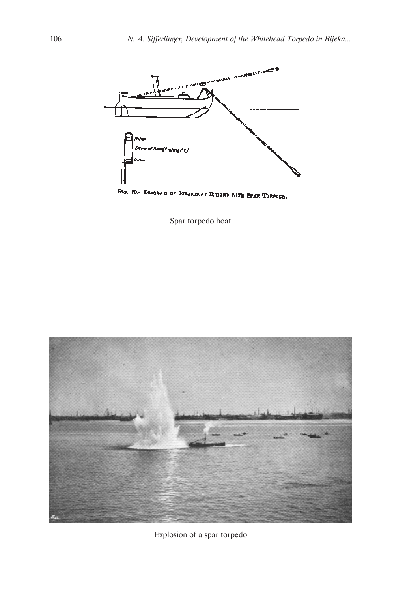

Fig. 2D.-Discours or STRAKECAY RIGGER WITH SCAN TORPERS.

Spar torpedo boat



Explosion of a spar torpedo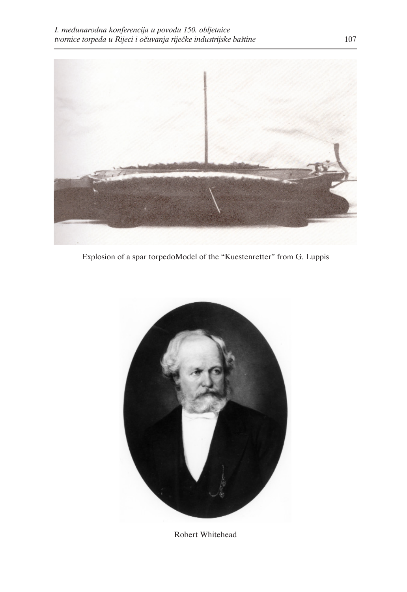

Explosion of a spar torpedoModel of the "Kuestenretter" from G. Luppis



Robert Whitehead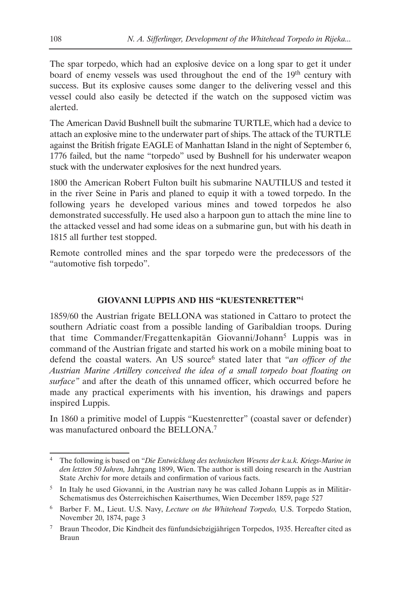The spar torpedo, which had an explosive device on a long spar to get it under board of enemy vessels was used throughout the end of the 19<sup>th</sup> century with success. But its explosive causes some danger to the delivering vessel and this vessel could also easily be detected if the watch on the supposed victim was alerted.

The American David Bushnell built the submarine TURTLE, which had a device to attach an explosive mine to the underwater part of ships. The attack of the TURTLE against the British frigate EAGLE of Manhattan Island in the night of September 6, 1776 failed, but the name "torpedo" used by Bushnell for his underwater weapon stuck with the underwater explosives for the next hundred years.

1800 the American Robert Fulton built his submarine NAUTILUS and tested it in the river Seine in Paris and planed to equip it with a towed torpedo. In the following years he developed various mines and towed torpedos he also demonstrated successfully. He used also a harpoon gun to attach the mine line to the attacked vessel and had some ideas on a submarine gun, but with his death in 1815 all further test stopped.

Remote controlled mines and the spar torpedo were the predecessors of the "automotive fish torpedo".

#### **GIOVANNI LUPPIS AND HIS "KUESTENRETTER"**<sup>4</sup>

1859/60 the Austrian frigate BELLONA was stationed in Cattaro to protect the southern Adriatic coast from a possible landing of Garibaldian troops. During that time Commander/Fregattenkapitän Giovanni/Johann<sup>5</sup> Luppis was in command of the Austrian frigate and started his work on a mobile mining boat to defend the coastal waters. An US source<sup>6</sup> stated later that "*an officer of the Austrian Marine Artillery conceived the idea of a small torpedo boat floating on surface"* and after the death of this unnamed officer, which occurred before he made any practical experiments with his invention, his drawings and papers inspired Luppis.

In 1860 a primitive model of Luppis "Kuestenretter" (coastal saver or defender) was manufactured onboard the BELLONA.7

<sup>4</sup> The following is based on "*Die Entwicklung des technischen Wesens der k.u.k. Kriegs-Marine in den letzten 50 Jahren,* Jahrgang 1899, Wien. The author is still doing research in the Austrian State Archiv for more details and confirmation of various facts.

 $<sup>5</sup>$  In Italy he used Giovanni, in the Austrian navy he was called Johann Luppis as in Militär-</sup> Schematismus des Österreichischen Kaiserthumes, Wien December 1859, page 527

<sup>6</sup> Barber F. M., Lieut. U.S. Navy, *Lecture on the Whitehead Torpedo,* U.S. Torpedo Station, November 20, 1874, page 3

<sup>7</sup> Braun Theodor, Die Kindheit des fünfundsiebzigjährigen Torpedos, 1935. Hereafter cited as Braun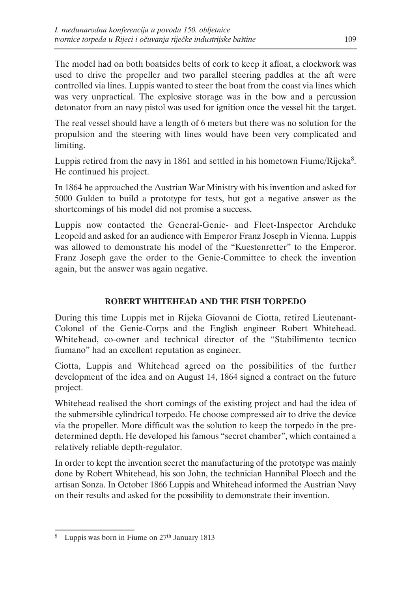The model had on both boatsides belts of cork to keep it afloat, a clockwork was used to drive the propeller and two parallel steering paddles at the aft were controlled via lines. Luppis wanted to steer the boat from the coast via lines which was very unpractical. The explosive storage was in the bow and a percussion detonator from an navy pistol was used for ignition once the vessel hit the target.

The real vessel should have a length of 6 meters but there was no solution for the propulsion and the steering with lines would have been very complicated and limiting.

Luppis retired from the navy in 1861 and settled in his hometown Fiume/Rijeka<sup>8</sup>. He continued his project.

In 1864 he approached the Austrian War Ministry with his invention and asked for 5000 Gulden to build a prototype for tests, but got a negative answer as the shortcomings of his model did not promise a success.

Luppis now contacted the General-Genie- and Fleet-Inspector Archduke Leopold and asked for an audience with Emperor Franz Joseph in Vienna. Luppis was allowed to demonstrate his model of the "Kuestenretter" to the Emperor. Franz Joseph gave the order to the Genie-Committee to check the invention again, but the answer was again negative.

# **ROBERT WHITEHEAD AND THE FISH TORPEDO**

During this time Luppis met in Rijeka Giovanni de Ciotta, retired Lieutenant-Colonel of the Genie-Corps and the English engineer Robert Whitehead. Whitehead, co-owner and technical director of the "Stabilimento tecnico fiumano" had an excellent reputation as engineer.

Ciotta, Luppis and Whitehead agreed on the possibilities of the further development of the idea and on August 14, 1864 signed a contract on the future project.

Whitehead realised the short comings of the existing project and had the idea of the submersible cylindrical torpedo. He choose compressed air to drive the device via the propeller. More difficult was the solution to keep the torpedo in the predetermined depth. He developed his famous "secret chamber", which contained a relatively reliable depth-regulator.

In order to kept the invention secret the manufacturing of the prototype was mainly done by Robert Whitehead, his son John, the technician Hannibal Ploech and the artisan Sonza. In October 1866 Luppis and Whitehead informed the Austrian Navy on their results and asked for the possibility to demonstrate their invention.

<sup>&</sup>lt;sup>8</sup> Luppis was born in Fiume on 27<sup>th</sup> January 1813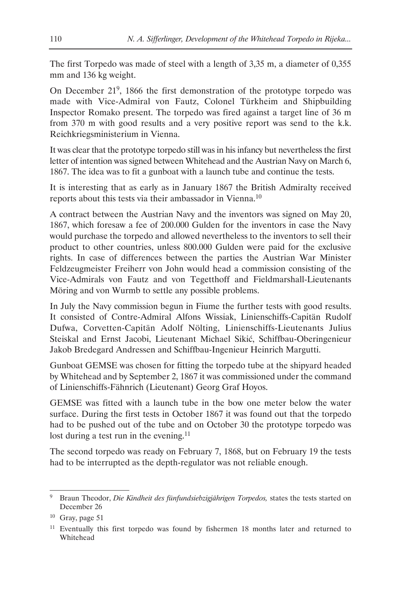The first Torpedo was made of steel with a length of 3,35 m, a diameter of 0,355 mm and 136 kg weight.

On December 219, 1866 the first demonstration of the prototype torpedo was made with Vice-Admiral von Fautz, Colonel Türkheim and Shipbuilding Inspector Romako present. The torpedo was fired against a target line of 36 m from 370 m with good results and a very positive report was send to the k.k. Reichkriegsministerium in Vienna.

It was clear that the prototype torpedo still was in his infancy but nevertheless the first letter of intention was signed between Whitehead and the Austrian Navy on March 6, 1867. The idea was to fit a gunboat with a launch tube and continue the tests.

It is interesting that as early as in January 1867 the British Admiralty received reports about this tests via their ambassador in Vienna.10

A contract between the Austrian Navy and the inventors was signed on May 20, 1867, which foresaw a fee of 200.000 Gulden for the inventors in case the Navy would purchase the torpedo and allowed nevertheless to the inventors to sell their product to other countries, unless 800.000 Gulden were paid for the exclusive rights. In case of differences between the parties the Austrian War Minister Feldzeugmeister Freiherr von John would head a commission consisting of the Vice-Admirals von Fautz and von Tegetthoff and Fieldmarshall-Lieutenants Möring and von Wurmb to settle any possible problems.

In July the Navy commission begun in Fiume the further tests with good results. It consisted of Contre-Admiral Alfons Wissiak, Linienschiffs-Capitän Rudolf Dufwa, Corvetten-Capitän Adolf Nölting, Linienschiffs-Lieutenants Julius Steiskal and Ernst Jacobi, Lieutenant Michael Sikić, Schiffbau-Oberingenieur Jakob Bredegard Andressen and Schiffbau-Ingenieur Heinrich Margutti.

Gunboat GEMSE was chosen for fitting the torpedo tube at the shipyard headed by Whitehead and by September 2, 1867 it was commissioned under the command of Linienschiffs-Fähnrich (Lieutenant) Georg Graf Hoyos.

GEMSE was fitted with a launch tube in the bow one meter below the water surface. During the first tests in October 1867 it was found out that the torpedo had to be pushed out of the tube and on October 30 the prototype torpedo was lost during a test run in the evening.<sup>11</sup>

The second torpedo was ready on February 7, 1868, but on February 19 the tests had to be interrupted as the depth-regulator was not reliable enough.

<sup>&</sup>lt;sup>9</sup> Braun Theodor, *Die Kindheit des fünfundsiebzigjährigen Torpedos*, states the tests started on December 26

 $10$  Gray, page 51

 $11$  Eventually this first torpedo was found by fishermen 18 months later and returned to Whitehead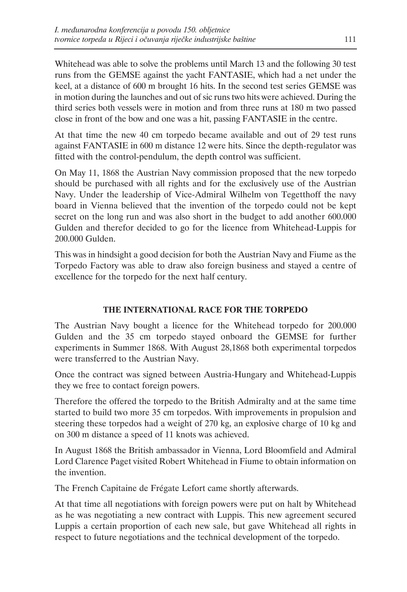Whitehead was able to solve the problems until March 13 and the following 30 test runs from the GEMSE against the yacht FANTASIE, which had a net under the keel, at a distance of 600 m brought 16 hits. In the second test series GEMSE was in motion during the launches and out of sic runs two hits were achieved. During the third series both vessels were in motion and from three runs at 180 m two passed close in front of the bow and one was a hit, passing FANTASIE in the centre.

At that time the new 40 cm torpedo became available and out of 29 test runs against FANTASIE in 600 m distance 12 were hits. Since the depth-regulator was fitted with the control-pendulum, the depth control was sufficient.

On May 11, 1868 the Austrian Navy commission proposed that the new torpedo should be purchased with all rights and for the exclusively use of the Austrian Navy. Under the leadership of Vice-Admiral Wilhelm von Tegetthoff the navy board in Vienna believed that the invention of the torpedo could not be kept secret on the long run and was also short in the budget to add another 600.000 Gulden and therefor decided to go for the licence from Whitehead-Luppis for 200.000 Gulden.

This was in hindsight a good decision for both the Austrian Navy and Fiume as the Torpedo Factory was able to draw also foreign business and stayed a centre of excellence for the torpedo for the next half century.

# **THE INTERNATIONAL RACE FOR THE TORPEDO**

The Austrian Navy bought a licence for the Whitehead torpedo for 200.000 Gulden and the 35 cm torpedo stayed onboard the GEMSE for further experiments in Summer 1868. With August 28,1868 both experimental torpedos were transferred to the Austrian Navy.

Once the contract was signed between Austria-Hungary and Whitehead-Luppis they we free to contact foreign powers.

Therefore the offered the torpedo to the British Admiralty and at the same time started to build two more 35 cm torpedos. With improvements in propulsion and steering these torpedos had a weight of 270 kg, an explosive charge of 10 kg and on 300 m distance a speed of 11 knots was achieved.

In August 1868 the British ambassador in Vienna, Lord Bloomfield and Admiral Lord Clarence Paget visited Robert Whitehead in Fiume to obtain information on the invention.

The French Capitaine de Frégate Lefort came shortly afterwards.

At that time all negotiations with foreign powers were put on halt by Whitehead as he was negotiating a new contract with Luppis. This new agreement secured Luppis a certain proportion of each new sale, but gave Whitehead all rights in respect to future negotiations and the technical development of the torpedo.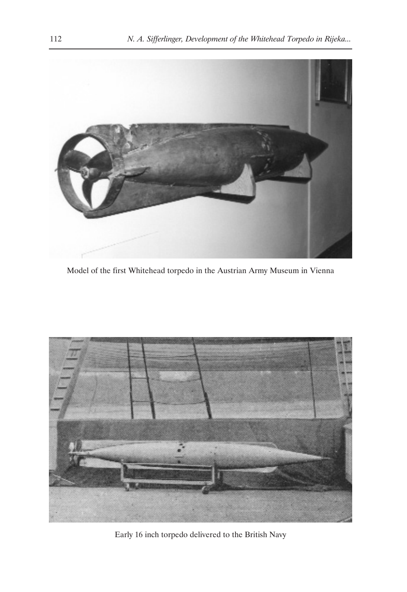

Model of the first Whitehead torpedo in the Austrian Army Museum in Vienna



Early 16 inch torpedo delivered to the British Navy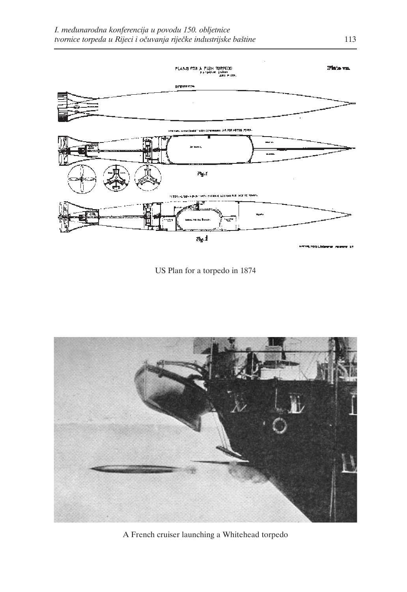

US Plan for a torpedo in 1874



A French cruiser launching a Whitehead torpedo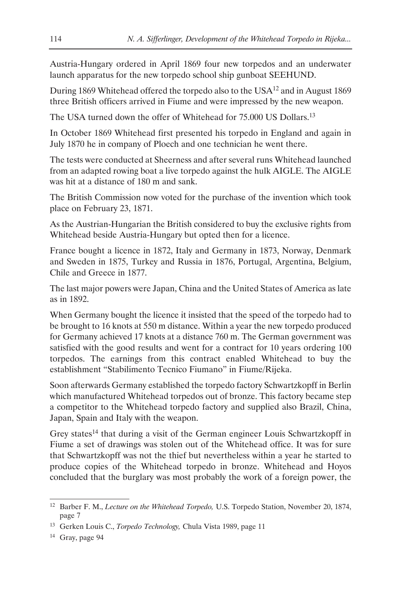Austria-Hungary ordered in April 1869 four new torpedos and an underwater launch apparatus for the new torpedo school ship gunboat SEEHUND.

During 1869 Whitehead offered the torpedo also to the USA12 and in August 1869 three British officers arrived in Fiume and were impressed by the new weapon.

The USA turned down the offer of Whitehead for 75.000 US Dollars.13

In October 1869 Whitehead first presented his torpedo in England and again in July 1870 he in company of Ploech and one technician he went there.

The tests were conducted at Sheerness and after several runs Whitehead launched from an adapted rowing boat a live torpedo against the hulk AIGLE. The AIGLE was hit at a distance of 180 m and sank.

The British Commission now voted for the purchase of the invention which took place on February 23, 1871.

As the Austrian-Hungarian the British considered to buy the exclusive rights from Whitehead beside Austria-Hungary but opted then for a licence.

France bought a licence in 1872, Italy and Germany in 1873, Norway, Denmark and Sweden in 1875, Turkey and Russia in 1876, Portugal, Argentina, Belgium, Chile and Greece in 1877.

The last major powers were Japan, China and the United States of America as late as in 1892.

When Germany bought the licence it insisted that the speed of the torpedo had to be brought to 16 knots at 550 m distance. Within a year the new torpedo produced for Germany achieved 17 knots at a distance 760 m. The German government was satisfied with the good results and went for a contract for 10 years ordering 100 torpedos. The earnings from this contract enabled Whitehead to buy the establishment "Stabilimento Tecnico Fiumano" in Fiume/Rijeka.

Soon afterwards Germany established the torpedo factory Schwartzkopff in Berlin which manufactured Whitehead torpedos out of bronze. This factory became step a competitor to the Whitehead torpedo factory and supplied also Brazil, China, Japan, Spain and Italy with the weapon.

Grey states<sup>14</sup> that during a visit of the German engineer Louis Schwartzkopff in Fiume a set of drawings was stolen out of the Whitehead office. It was for sure that Schwartzkopff was not the thief but nevertheless within a year he started to produce copies of the Whitehead torpedo in bronze. Whitehead and Hoyos concluded that the burglary was most probably the work of a foreign power, the

<sup>12</sup> Barber F. M., *Lecture on the Whitehead Torpedo,* U.S. Torpedo Station, November 20, 1874, page 7

<sup>13</sup> Gerken Louis C., *Torpedo Technology,* Chula Vista 1989, page 11

<sup>14</sup> Gray, page 94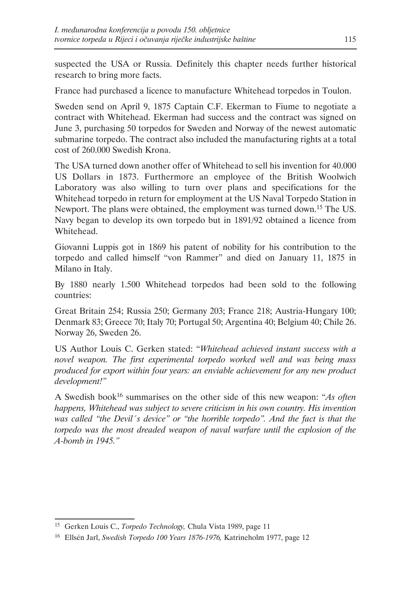suspected the USA or Russia. Definitely this chapter needs further historical research to bring more facts.

France had purchased a licence to manufacture Whitehead torpedos in Toulon.

Sweden send on April 9, 1875 Captain C.F. Ekerman to Fiume to negotiate a contract with Whitehead. Ekerman had success and the contract was signed on June 3, purchasing 50 torpedos for Sweden and Norway of the newest automatic submarine torpedo. The contract also included the manufacturing rights at a total cost of 260.000 Swedish Krona.

The USA turned down another offer of Whitehead to sell his invention for 40.000 US Dollars in 1873. Furthermore an employee of the British Woolwich Laboratory was also willing to turn over plans and specifications for the Whitehead torpedo in return for employment at the US Naval Torpedo Station in Newport. The plans were obtained, the employment was turned down.<sup>15</sup> The US. Navy began to develop its own torpedo but in 1891/92 obtained a licence from Whitehead.

Giovanni Luppis got in 1869 his patent of nobility for his contribution to the torpedo and called himself "von Rammer" and died on January 11, 1875 in Milano in Italy.

By 1880 nearly 1.500 Whitehead torpedos had been sold to the following countries:

Great Britain 254; Russia 250; Germany 203; France 218; Austria-Hungary 100; Denmark 83; Greece 70; Italy 70; Portugal 50; Argentina 40; Belgium 40; Chile 26. Norway 26, Sweden 26.

US Author Louis C. Gerken stated: "*Whitehead achieved instant success with a novel weapon. The first experimental torpedo worked well and was being mass produced for export within four years: an enviable achievement for any new product development!"*

A Swedish book16 summarises on the other side of this new weapon: "*As often happens, Whitehead was subject to severe criticism in his own country. His invention was called "the Devil´s device" or "the horrible torpedo". And the fact is that the torpedo was the most dreaded weapon of naval warfare until the explosion of the A-bomb in 1945."*

<sup>15</sup> Gerken Louis C., *Torpedo Technology,* Chula Vista 1989, page 11

<sup>16</sup> Ellsén Jarl, *Swedish Torpedo 100 Years 1876-1976,* Katrineholm 1977, page 12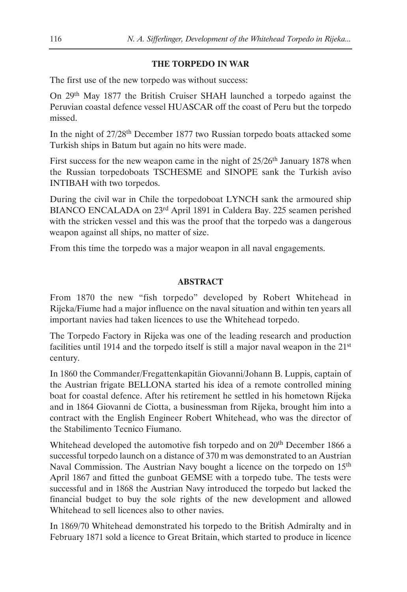### **THE TORPEDO IN WAR**

The first use of the new torpedo was without success:

On 29th May 1877 the British Cruiser SHAH launched a torpedo against the Peruvian coastal defence vessel HUASCAR off the coast of Peru but the torpedo missed.

In the night of 27/28th December 1877 two Russian torpedo boats attacked some Turkish ships in Batum but again no hits were made.

First success for the new weapon came in the night of 25/26<sup>th</sup> January 1878 when the Russian torpedoboats TSCHESME and SINOPE sank the Turkish aviso INTIBAH with two torpedos.

During the civil war in Chile the torpedoboat LYNCH sank the armoured ship BIANCO ENCALADA on 23rd April 1891 in Caldera Bay. 225 seamen perished with the stricken vessel and this was the proof that the torpedo was a dangerous weapon against all ships, no matter of size.

From this time the torpedo was a major weapon in all naval engagements.

#### **ABSTRACT**

From 1870 the new "fish torpedo" developed by Robert Whitehead in Rijeka/Fiume had a major influence on the naval situation and within ten years all important navies had taken licences to use the Whitehead torpedo.

The Torpedo Factory in Rijeka was one of the leading research and production facilities until 1914 and the torpedo itself is still a major naval weapon in the 21st century.

In 1860 the Commander/Fregattenkapitän Giovanni/Johann B. Luppis, captain of the Austrian frigate BELLONA started his idea of a remote controlled mining boat for coastal defence. After his retirement he settled in his hometown Rijeka and in 1864 Giovanni de Ciotta, a businessman from Rijeka, brought him into a contract with the English Engineer Robert Whitehead, who was the director of the Stabilimento Tecnico Fiumano.

Whitehead developed the automotive fish torpedo and on 20<sup>th</sup> December 1866 a successful torpedo launch on a distance of 370 m was demonstrated to an Austrian Naval Commission. The Austrian Navy bought a licence on the torpedo on 15<sup>th</sup> April 1867 and fitted the gunboat GEMSE with a torpedo tube. The tests were successful and in 1868 the Austrian Navy introduced the torpedo but lacked the financial budget to buy the sole rights of the new development and allowed Whitehead to sell licences also to other navies.

In 1869/70 Whitehead demonstrated his torpedo to the British Admiralty and in February 1871 sold a licence to Great Britain, which started to produce in licence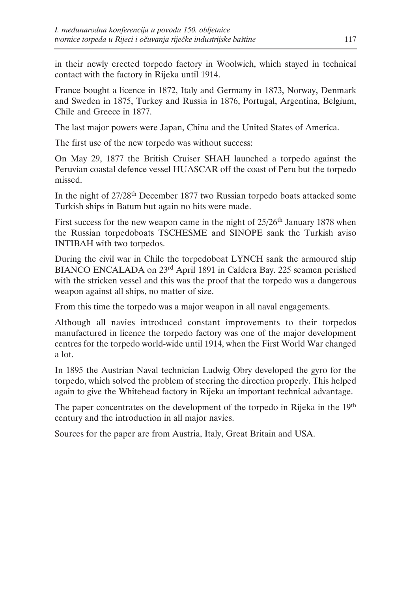in their newly erected torpedo factory in Woolwich, which stayed in technical contact with the factory in Rijeka until 1914.

France bought a licence in 1872, Italy and Germany in 1873, Norway, Denmark and Sweden in 1875, Turkey and Russia in 1876, Portugal, Argentina, Belgium, Chile and Greece in 1877.

The last major powers were Japan, China and the United States of America.

The first use of the new torpedo was without success:

On May 29, 1877 the British Cruiser SHAH launched a torpedo against the Peruvian coastal defence vessel HUASCAR off the coast of Peru but the torpedo missed.

In the night of 27/28th December 1877 two Russian torpedo boats attacked some Turkish ships in Batum but again no hits were made.

First success for the new weapon came in the night of  $25/26$ <sup>th</sup> January 1878 when the Russian torpedoboats TSCHESME and SINOPE sank the Turkish aviso INTIBAH with two torpedos.

During the civil war in Chile the torpedoboat LYNCH sank the armoured ship BIANCO ENCALADA on 23rd April 1891 in Caldera Bay. 225 seamen perished with the stricken vessel and this was the proof that the torpedo was a dangerous weapon against all ships, no matter of size.

From this time the torpedo was a major weapon in all naval engagements.

Although all navies introduced constant improvements to their torpedos manufactured in licence the torpedo factory was one of the major development centres for the torpedo world-wide until 1914, when the First World War changed a lot.

In 1895 the Austrian Naval technician Ludwig Obry developed the gyro for the torpedo, which solved the problem of steering the direction properly. This helped again to give the Whitehead factory in Rijeka an important technical advantage.

The paper concentrates on the development of the torpedo in Rijeka in the 19<sup>th</sup> century and the introduction in all major navies.

Sources for the paper are from Austria, Italy, Great Britain and USA.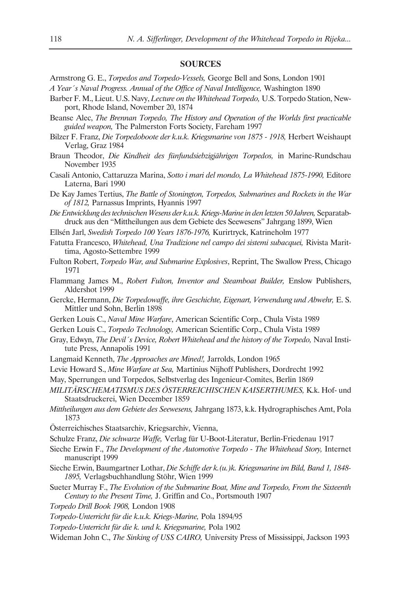#### **SOURCES**

- Armstrong G. E., *Torpedos and Torpedo-Vessels,* George Bell and Sons, London 1901
- *A Year´s Naval Progress. Annual of the Office of Naval Intelligence,* Washington 1890
- Barber F. M., Lieut. U.S. Navy, *Lecture on the Whitehead Torpedo,* U.S. Torpedo Station, Newport, Rhode Island, November 20, 1874
- Beanse Alec, *The Brennan Torpedo, The History and Operation of the Worlds first practicable guided weapon,* The Palmerston Forts Society, Fareham 1997
- Bilzer F. Franz, *Die Torpedoboote der k.u.k. Kriegsmarine von 1875 1918*, Herbert Weishaupt Verlag, Graz 1984
- Braun Theodor, *Die Kindheit des fünfundsiebzigjährigen Torpedos,* in Marine-Rundschau November 1935
- Casali Antonio, Cattaruzza Marina, *Sotto i mari del mondo, La Whitehead 1875-1990,* Editore Laterna, Bari 1990
- De Kay James Tertius, *The Battle of Stonington, Torpedos, Submarines and Rockets in the War of 1812,* Parnassus Imprints, Hyannis 1997
- *Die Entwicklung des technischen Wesens der k.u.k. Kriegs-Marine in den letzten 50 Jahren,* Separatabdruck aus den "Mittheilungen aus dem Gebiete des Seewesens" Jahrgang 1899, Wien
- Ellsén Jarl, *Swedish Torpedo 100 Years 1876-1976,* Kurirtryck, Katrineholm 1977
- Fatutta Francesco, *Whitehead, Una Tradizione nel campo dei sistemi subacquei,* Rivista Marittima, Agosto-Settembre 1999
- Fulton Robert, *Torpedo War, and Submarine Explosives*, Reprint, The Swallow Press, Chicago 1971
- Flammang James M., *Robert Fulton, Inventor and Steamboat Builder,* Enslow Publishers, Aldershot 1999
- Gercke, Hermann, *Die Torpedowaffe, ihre Geschichte, Eigenart, Verwendung und Abwehr, E.S.* Mittler und Sohn, Berlin 1898
- Gerken Louis C., *Naval Mine Warfare*, American Scientific Corp., Chula Vista 1989
- Gerken Louis C., *Torpedo Technology,* American Scientific Corp., Chula Vista 1989
- Gray, Edwyn, *The Devil´s Device, Robert Whitehead and the history of the Torpedo,* Naval Institute Press, Annapolis 1991
- Langmaid Kenneth, *The Approaches are Mined!,* Jarrolds, London 1965
- Levie Howard S., *Mine Warfare at Sea,* Martinius Nijhoff Publishers, Dordrecht 1992
- May, Sperrungen und Torpedos, Selbstverlag des Ingenieur-Comites, Berlin 1869
- *MILITÄRSCHEMATISMUS DES ÖSTERREICHISCHEN KAISERTHUMES,* K.k. Hof- und Staatsdruckerei, Wien December 1859
- *Mittheilungen aus dem Gebiete des Seewesens,* Jahrgang 1873, k.k. Hydrographisches Amt, Pola 1873
- Österreichisches Staatsarchiv, Kriegsarchiv, Vienna,
- Schulze Franz, *Die schwarze Waffe,* Verlag für U-Boot-Literatur, Berlin-Friedenau 1917
- Sieche Erwin F., *The Development of the Automotive Torpedo The Whitehead Story*, Internet manuscript 1999
- Sieche Erwin, Baumgartner Lothar, *Die Schiffe der k.(u.)k. Kriegsmarine im Bild, Band 1, 1848- 1895,* Verlagsbuchhandlung Stöhr, Wien 1999
- Sueter Murray F., *The Evolution of the Submarine Boat, Mine and Torpedo, From the Sixteenth Century to the Present Time,* J. Griffin and Co., Portsmouth 1907
- *Torpedo Drill Book 1908,* London 1908
- *Torpedo-Unterricht für die k.u.k. Kriegs-Marine,* Pola 1894/95
- *Torpedo-Unterricht für die k. und k. Kriegsmarine,* Pola 1902
- Wideman John C., *The Sinking of USS CAIRO,* University Press of Mississippi, Jackson 1993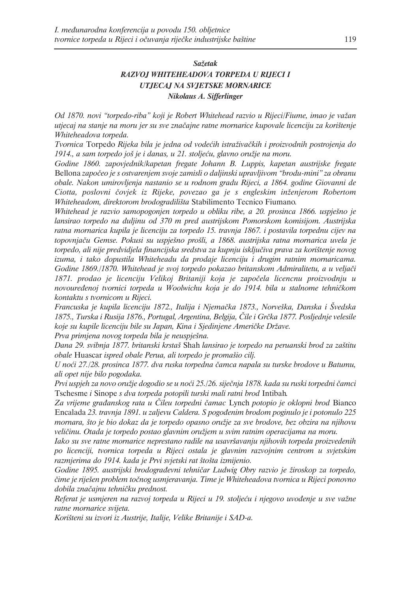#### *Sažetak RAZVOJ WHITEHEADOVA TORPEDA U RIJECI I UTJECAJ NA SVJETSKE MORNARICE Nikolaus A. Sifferlinger*

*Od 1870. novi "torpedo-riba" koji je Robert Whitehead razvio u Rijeci/Fiume, imao je važan utjecaj na stanje na moru jer su sve značajne ratne mornarice kupovale licenciju za korištenje Whiteheadova torpeda.*

*Tvornica* Torpedo *Rijeka bila je jedna od vodećih istraživačkih i proizvodnih postrojenja do 1914., a sam torpedo još je i danas, u 21. stoljeću, glavno oružje na moru.*

*Godine 1860. zapovjednik/kapetan fregate Johann B. Luppis, kapetan austrijske fregate* Bellona *započeo je s ostvarenjem svoje zamisli o daljinski upravljivom "brodu-mini" za obranu obale. Nakon umirovljenja nastanio se u rodnom gradu Rijeci, a 1864. godine Giovanni de Ciotta, poslovni čovjek iz Rijeke, povezao ga je s engleskim inženjerom Robertom Whiteheadom, direktorom brodogradilišta* Stabilimento Tecnico Fiumano*.*

*Whitehead je razvio samopogonjen torpedo u obliku ribe, a 20. prosinca 1866. uspješno je lansirao torpedo na duljinu od 370 m pred austrijskom Pomorskom komisijom. Austrijska ratna mornarica kupila je licenciju za torpedo 15. travnja 1867. i postavila torpednu cijev na topovnjaču Gemse. Pokusi su uspješno prošli, a 1868. austrijska ratna mornarica uvela je torpedo, ali nije predvidjela financijska sredstva za kupnju isključiva prava za korištenje novog izuma, i tako dopustila Whiteheadu da prodaje licenciju i drugim ratnim mornaricama. Godine 1869./1870. Whitehead je svoj torpedo pokazao britanskom Admiralitetu, a u veljači 1871. prodao je licenciju Velikoj Britaniji koja je započela licencnu proizvodnju u novouređenoj tvornici torpeda u Woolwichu koja je do 1914. bila u stalnome tehničkom kontaktu s tvornicom u Rijeci.* 

*Francuska je kupila licenciju 1872., Italija i Njemačka 1873., Norveška, Danska i Švedska 1875., Turska i Rusija 1876., Portugal, Argentina, Belgija, Čile i Grčka 1877. Posljednje velesile koje su kupile licenciju bile su Japan, Kina i Sjedinjene Američke Države.*

*Prva primjena novog torpeda bila je neuspješna.*

*Dana 29. svibnja 1877. britanski krstaš* Shah *lansirao je torpedo na peruanski brod za zaštitu obale* Huascar *ispred obale Perua, ali torpedo je promašio cilj.*

*U noći 27./28. prosinca 1877. dva ruska torpedna čamca napala su turske brodove u Batumu, ali opet nije bilo pogodaka.*

*Prvi uspjeh za novo oružje dogodio se u noći 25./26. siječnja 1878. kada su ruski torpedni čamci* Tschesme *i* Sinope *s dva torpeda potopili turski mali ratni brod* Intibah*.* 

*Za vrijeme građanskog rata u Čileu torpedni čamac* Lynch *potopio je oklopni brod* Bianco Encalada *23. travnja 1891. u zaljevu Caldera. S pogođenim brodom poginulo je i potonulo 225 mornara, što je bio dokaz da je torpedo opasno oružje za sve brodove, bez obzira na njihovu veličinu. Otada je torpedo postao glavnim oružjem u svim ratnim operacijama na moru.*

*Iako su sve ratne mornarice neprestano radile na usavršavanju njihovih torpeda proizvedenih po licenciji, tvornica torpeda u Rijeci ostala je glavnim razvojnim centrom u svjetskim razmjerima do 1914. kada je Prvi svjetski rat štošta izmijenio.*

*Godine 1895. austrijski brodograđevni tehničar Ludwig Obry razvio je žiroskop za torpedo, čime je riješen problem točnog usmjeravanja. Time je Whiteheadova tvornica u Rijeci ponovno dobila značajnu tehničku prednost.*

*Referat je usmjeren na razvoj torpeda u Rijeci u 19. stoljeću i njegovo uvođenje u sve važne ratne mornarice svijeta.*

*Korišteni su izvori iz Austrije, Italije, Velike Britanije i SAD-a.*